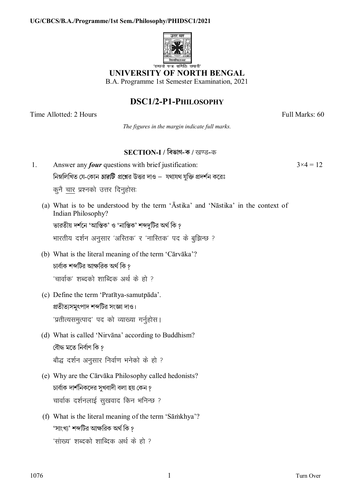

## **UNIVERSITY OF NORTH BENGAL**

B.A. Programme 1st Semester Examination, 2021

# DSC1/2-P1-PHILOSOPHY

Time Allotted: 2 Hours

Full Marks: 60

 $3 \times 4 = 12$ 

The figures in the margin indicate full marks.

### SECTION-I / বিভাগ-ক / खण्ड-क

- Answer any *four* questions with brief justification:  $\mathbf{1}$ নিম্নলিখিত যে-কোন *চারটি প্র*শ্নের উত্তর দাও – যথাযথ যুক্তি প্রদর্শন করেঃ कुनै चार प्रश्नको उत्तर दिनुहोसः
	- (a) What is to be understood by the term 'Āstika' and 'Nāstika' in the context of Indian Philosophy?

ভারতীয় দর্শনে 'আস্তিক' ও 'নাস্তিক' শব্দদটির অর্থ কি ?

भारतीय दर्शन अनुसार 'अस्तिक' र 'नास्तिक' पद के बुझिन्छ ?

(b) What is the literal meaning of the term 'Cārvāka'?

চার্বাক শব্দটির আক্ষরিক অর্থ কি ? 'चार्वाक' शब्दको शाब्दिक अर्थ के हो ?

- (c) Define the term 'Pratītya-samutpāda'. প্রতীত্যসমুৎপাদ শব্দটির সংজ্ঞা দাও। 'प्रतीत्यसमुत्पाद' पद को व्याख्या गर्नुहोस।
- (d) What is called 'Nirvāna' according to Buddhism? বৌদ্ধ মতে নিৰ্বাণ কি ? बौद्ध दर्शन अनुसार निर्वाण भनेको के हो ?
- (e) Why are the Cārvāka Philosophy called hedonists? চার্বাক দার্শনিকদের সুখবাদী বলা হয় কেন ? चार्वाक दर्शनलाई सुखवाद किन भनिन्छ ?
- (f) What is the literal meaning of the term 'Sāmkhya'? 'সাংখ্য' শব্দটির আক্ষরিক অর্থ কি ? 'सांख्य' शब्दको शाब्दिक अर्थ के हो ?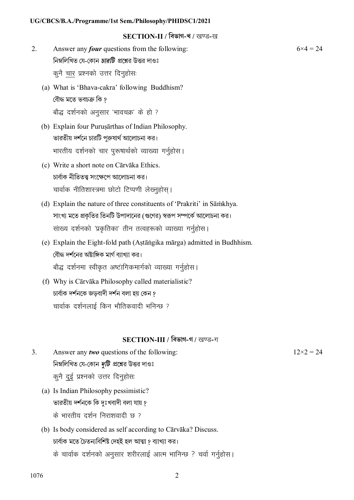#### SECTION-II / विज्ञान-थ / खण्ड-ख

- $2<sub>1</sub>$ Answer any *four* questions from the following: নিম্নলিখিত যে-কোন *চারটি প্র*শ্নের উত্তর দাওঃ कुनै चार प्रश्नको उत्तर दिनुहोसः
	- (a) What is 'Bhava-cakra' following Buddhism? বৌদ্ধ মতে ভবচক্ৰ কি ? बौद्ध दर्शनको अनुसार 'भावचक्र' के हो ?
	- (b) Explain four Purus arthas of Indian Philosophy. ভারতীয় দর্শনে চারটি পুরুষার্থ আলোচনা কর। भारतीय दर्शनको चार पुरूषार्थको व्याख्या गर्नुहोस।
	- (c) Write a short note on Cārvāka Ethics. চাৰ্বাক নীতিতত্ত্ব সংক্ষেপে আলোচনা কর। चार्वाक नीतिशास्त्रमा छोटो टिप्पणी लेख्नुहोस् ।
	- (d) Explain the nature of three constituents of 'Prakriti' in Sāmkhya. সাংখ্য মতে প্রকৃতির তিনটি উপাদানের (গুণের) স্বরূপ সম্পর্কে আলোচনা কর। सांख्य दर्शनको 'प्रकृतिका' तीन तत्वहरूको व्याख्या गर्नुहोस।
	- (e) Explain the Eight-fold path (Astāngika mārga) admitted in Budhhism. বৌদ্ধ দর্শনের অষ্টাঙ্গিক মার্গ ব্যাখ্যা কর। बौद्ध दर्शनमा स्वीकृत अष्टांगिकमार्गको व्याख्या गर्नुहोस।
	- (f) Why is Cārvāka Philosophy called materialistic? চাৰ্বাক দৰ্শনকে জডবাদী দৰ্শন বলা হয় কেন ? चार्वाक दर्शनलाई किन भौतिकवादी भनिन्छ ?

### SECTION-III / विखान-न / खण्ड-ग

- $3<sub>1</sub>$ Answer any *two* questions of the following: নিম্নলিখিত যে-কোন *দুটি প্র*শ্নের উত্তর দাওঃ कुनै दुई प्रश्नको उत्तर दिनुहोसः
	- (a) Is Indian Philosophy pessimistic? ভারতীয় দর্শনকে কি দুঃখবাদী বলা যায় ? के भारतीय दर्शन निराशवादी छ ?
	- (b) Is body considered as self according to Cārvāka? Discuss. চাৰ্বাক মতে চৈতন্যবিশিষ্ট দেহই হল আত্মা ? ব্যাখ্যা কর। के चार्वाक दर्शनको अनुसार शरीरलाई आत्म भानिन्छ ? चर्वा गर्नुहोस।

 $6 \times 4 = 24$ 

 $12\times2=24$